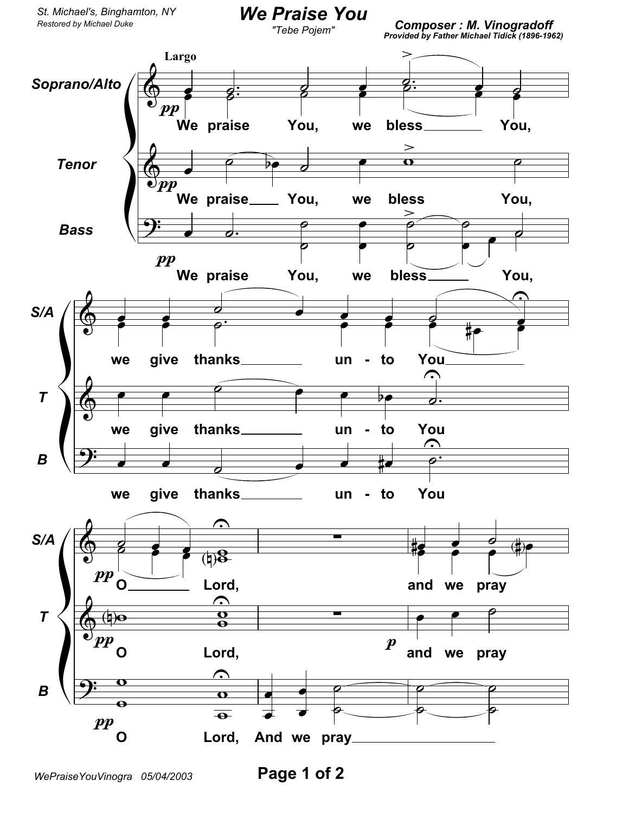